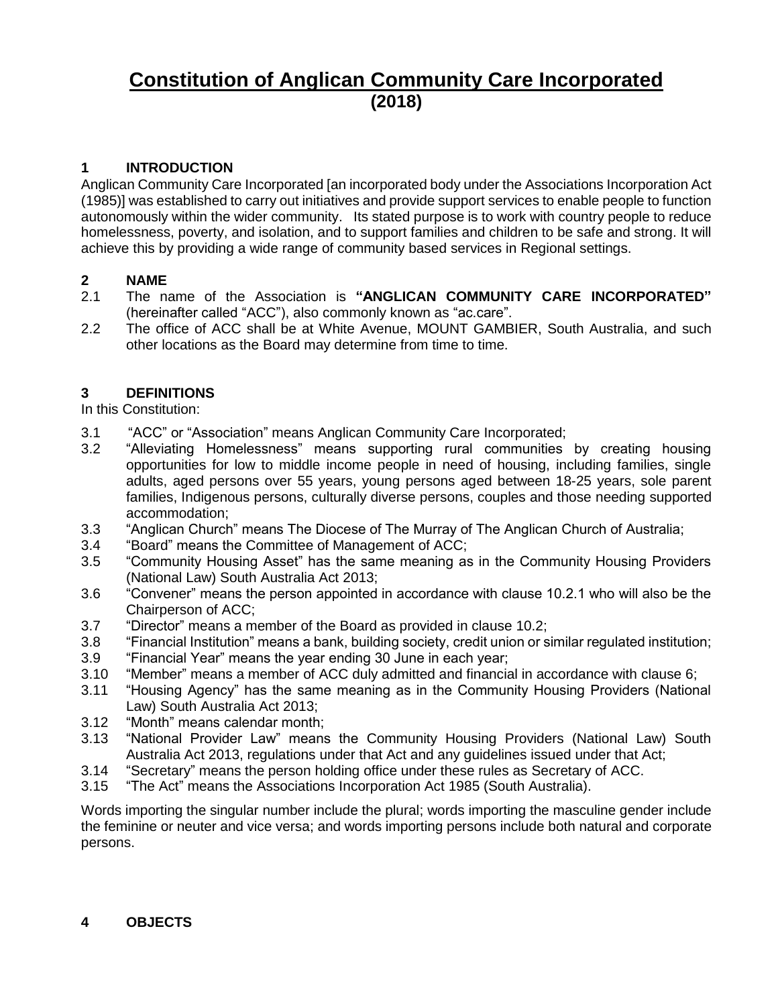# **Constitution of Anglican Community Care Incorporated (2018)**

# **1 INTRODUCTION**

Anglican Community Care Incorporated [an incorporated body under the Associations Incorporation Act (1985)] was established to carry out initiatives and provide support services to enable people to function autonomously within the wider community. Its stated purpose is to work with country people to reduce homelessness, poverty, and isolation, and to support families and children to be safe and strong. It will achieve this by providing a wide range of community based services in Regional settings.

#### **2 NAME**

- 2.1 The name of the Association is **"ANGLICAN COMMUNITY CARE INCORPORATED"** (hereinafter called "ACC"), also commonly known as "ac.care".
- 2.2 The office of ACC shall be at White Avenue, MOUNT GAMBIER, South Australia, and such other locations as the Board may determine from time to time.

# **3 DEFINITIONS**

In this Constitution:

- 3.1 "ACC" or "Association" means Anglican Community Care Incorporated;
- 3.2 "Alleviating Homelessness" means supporting rural communities by creating housing opportunities for low to middle income people in need of housing, including families, single adults, aged persons over 55 years, young persons aged between 18-25 years, sole parent families, Indigenous persons, culturally diverse persons, couples and those needing supported accommodation;
- 3.3 "Anglican Church" means The Diocese of The Murray of The Anglican Church of Australia;
- 3.4 "Board" means the Committee of Management of ACC;
- 3.5 "Community Housing Asset" has the same meaning as in the Community Housing Providers (National Law) South Australia Act 2013;
- 3.6 "Convener" means the person appointed in accordance with clause 10.2.1 who will also be the Chairperson of ACC;
- 3.7 "Director" means a member of the Board as provided in clause 10.2;
- 3.8 "Financial Institution" means a bank, building society, credit union or similar regulated institution;
- 3.9 "Financial Year" means the year ending 30 June in each year;
- 3.10 "Member" means a member of ACC duly admitted and financial in accordance with clause 6;
- 3.11 "Housing Agency" has the same meaning as in the Community Housing Providers (National Law) South Australia Act 2013;
- 3.12 "Month" means calendar month;
- 3.13 "National Provider Law" means the Community Housing Providers (National Law) South Australia Act 2013, regulations under that Act and any guidelines issued under that Act;
- 3.14 "Secretary" means the person holding office under these rules as Secretary of ACC.
- 3.15 "The Act" means the Associations Incorporation Act 1985 (South Australia).

Words importing the singular number include the plural; words importing the masculine gender include the feminine or neuter and vice versa; and words importing persons include both natural and corporate persons.

#### **4 OBJECTS**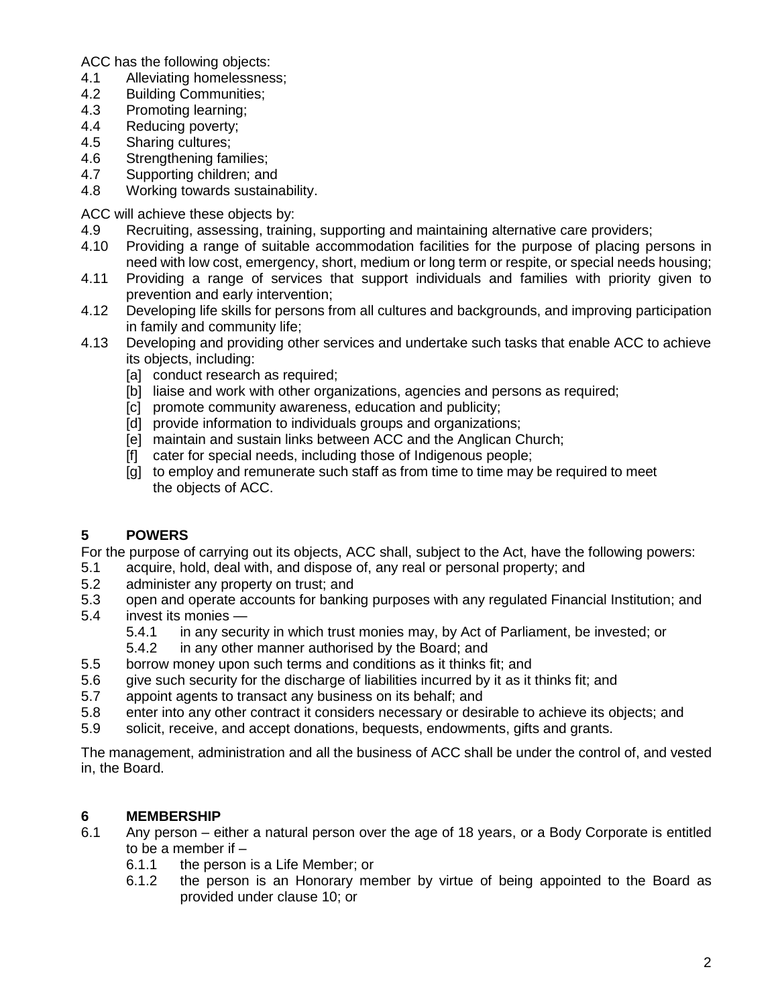ACC has the following objects:

- 4.1 Alleviating homelessness;
- 4.2 Building Communities;
- 4.3 Promoting learning;
- 4.4 Reducing poverty;
- 4.5 Sharing cultures;
- 4.6 Strengthening families;
- 4.7 Supporting children; and
- 4.8 Working towards sustainability.

ACC will achieve these objects by:

- 4.9 Recruiting, assessing, training, supporting and maintaining alternative care providers;
- 4.10 Providing a range of suitable accommodation facilities for the purpose of placing persons in need with low cost, emergency, short, medium or long term or respite, or special needs housing;
- 4.11 Providing a range of services that support individuals and families with priority given to prevention and early intervention;
- 4.12 Developing life skills for persons from all cultures and backgrounds, and improving participation in family and community life;
- 4.13 Developing and providing other services and undertake such tasks that enable ACC to achieve its objects, including:
	- [a] conduct research as required;
	- [b] liaise and work with other organizations, agencies and persons as required;
	- [c] promote community awareness, education and publicity;
	- [d] provide information to individuals groups and organizations;
	- [e] maintain and sustain links between ACC and the Anglican Church;
	- [f] cater for special needs, including those of Indigenous people;
	- [g] to employ and remunerate such staff as from time to time may be required to meet the objects of ACC.

# **5 POWERS**

For the purpose of carrying out its objects, ACC shall, subject to the Act, have the following powers:

- 5.1 acquire, hold, deal with, and dispose of, any real or personal property; and
- 5.2 administer any property on trust; and
- 5.3 open and operate accounts for banking purposes with any regulated Financial Institution; and
- 5.4 invest its monies
	- 5.4.1 in any security in which trust monies may, by Act of Parliament, be invested; or
	- 5.4.2 in any other manner authorised by the Board; and
- 5.5 borrow money upon such terms and conditions as it thinks fit; and
- 5.6 give such security for the discharge of liabilities incurred by it as it thinks fit; and
- 5.7 appoint agents to transact any business on its behalf; and
- 5.8 enter into any other contract it considers necessary or desirable to achieve its objects; and
- 5.9 solicit, receive, and accept donations, bequests, endowments, gifts and grants.

The management, administration and all the business of ACC shall be under the control of, and vested in, the Board.

# **6 MEMBERSHIP**

- 6.1 Any person either a natural person over the age of 18 years, or a Body Corporate is entitled to be a member if –
	- 6.1.1 the person is a Life Member; or
	- 6.1.2 the person is an Honorary member by virtue of being appointed to the Board as provided under clause 10; or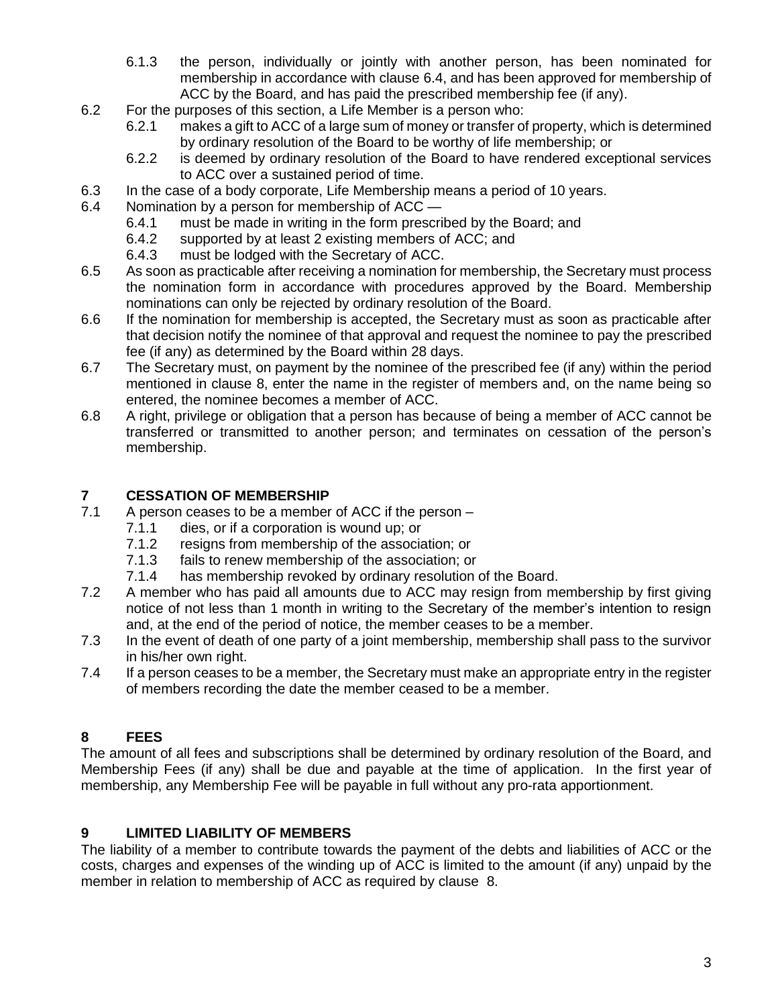- 6.1.3 the person, individually or jointly with another person, has been nominated for membership in accordance with clause 6.4, and has been approved for membership of ACC by the Board, and has paid the prescribed membership fee (if any).
- 6.2 For the purposes of this section, a Life Member is a person who:
	- 6.2.1 makes a gift to ACC of a large sum of money or transfer of property, which is determined by ordinary resolution of the Board to be worthy of life membership; or
	- 6.2.2 is deemed by ordinary resolution of the Board to have rendered exceptional services to ACC over a sustained period of time.
- 6.3 In the case of a body corporate, Life Membership means a period of 10 years.
- 6.4 Nomination by a person for membership of ACC
	- 6.4.1 must be made in writing in the form prescribed by the Board; and
	- 6.4.2 supported by at least 2 existing members of ACC; and
	- 6.4.3 must be lodged with the Secretary of ACC.
- 6.5 As soon as practicable after receiving a nomination for membership, the Secretary must process the nomination form in accordance with procedures approved by the Board. Membership nominations can only be rejected by ordinary resolution of the Board.
- 6.6 If the nomination for membership is accepted, the Secretary must as soon as practicable after that decision notify the nominee of that approval and request the nominee to pay the prescribed fee (if any) as determined by the Board within 28 days.
- 6.7 The Secretary must, on payment by the nominee of the prescribed fee (if any) within the period mentioned in clause 8, enter the name in the register of members and, on the name being so entered, the nominee becomes a member of ACC.
- 6.8 A right, privilege or obligation that a person has because of being a member of ACC cannot be transferred or transmitted to another person; and terminates on cessation of the person's membership.

#### **7 CESSATION OF MEMBERSHIP**

- 7.1 A person ceases to be a member of ACC if the person
	- 7.1.1 dies, or if a corporation is wound up; or<br>7.1.2 resigns from membership of the associal
	- resigns from membership of the association; or
	- 7.1.3 fails to renew membership of the association; or
	- 7.1.4 has membership revoked by ordinary resolution of the Board.
- 7.2 A member who has paid all amounts due to ACC may resign from membership by first giving notice of not less than 1 month in writing to the Secretary of the member's intention to resign and, at the end of the period of notice, the member ceases to be a member.
- 7.3 In the event of death of one party of a joint membership, membership shall pass to the survivor in his/her own right.
- 7.4 If a person ceases to be a member, the Secretary must make an appropriate entry in the register of members recording the date the member ceased to be a member.

#### **8 FEES**

The amount of all fees and subscriptions shall be determined by ordinary resolution of the Board, and Membership Fees (if any) shall be due and payable at the time of application. In the first year of membership, any Membership Fee will be payable in full without any pro-rata apportionment.

#### **9 LIMITED LIABILITY OF MEMBERS**

The liability of a member to contribute towards the payment of the debts and liabilities of ACC or the costs, charges and expenses of the winding up of ACC is limited to the amount (if any) unpaid by the member in relation to membership of ACC as required by clause 8.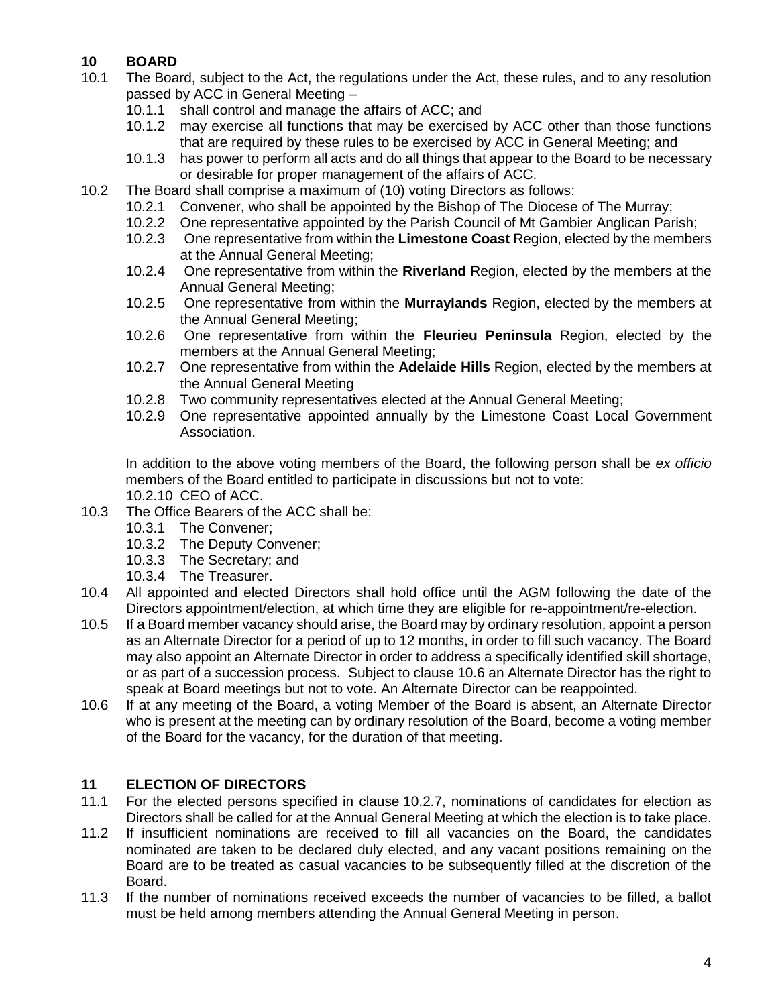# **10 BOARD**

- 10.1 The Board, subject to the Act, the regulations under the Act, these rules, and to any resolution passed by ACC in General Meeting –
	- 10.1.1 shall control and manage the affairs of ACC; and
	- 10.1.2 may exercise all functions that may be exercised by ACC other than those functions that are required by these rules to be exercised by ACC in General Meeting; and
	- 10.1.3 has power to perform all acts and do all things that appear to the Board to be necessary or desirable for proper management of the affairs of ACC.
- 10.2 The Board shall comprise a maximum of (10) voting Directors as follows:
	- 10.2.1 Convener, who shall be appointed by the Bishop of The Diocese of The Murray;
	- 10.2.2 One representative appointed by the Parish Council of Mt Gambier Anglican Parish;
	- 10.2.3 One representative from within the **Limestone Coast** Region, elected by the members at the Annual General Meeting;
	- 10.2.4 One representative from within the **Riverland** Region, elected by the members at the Annual General Meeting;
	- 10.2.5 One representative from within the **Murraylands** Region, elected by the members at the Annual General Meeting;
	- 10.2.6 One representative from within the **Fleurieu Peninsula** Region, elected by the members at the Annual General Meeting;
	- 10.2.7 One representative from within the **Adelaide Hills** Region, elected by the members at the Annual General Meeting
	- 10.2.8 Two community representatives elected at the Annual General Meeting;
	- 10.2.9 One representative appointed annually by the Limestone Coast Local Government Association.

In addition to the above voting members of the Board, the following person shall be *ex officio* members of the Board entitled to participate in discussions but not to vote: 10.2.10 CEO of ACC.

- 10.3 The Office Bearers of the ACC shall be:
	- 10.3.1 The Convener;
	- 10.3.2 The Deputy Convener;
	- 10.3.3 The Secretary; and
	- 10.3.4 The Treasurer.
- 10.4 All appointed and elected Directors shall hold office until the AGM following the date of the Directors appointment/election, at which time they are eligible for re-appointment/re-election.
- 10.5 If a Board member vacancy should arise, the Board may by ordinary resolution, appoint a person as an Alternate Director for a period of up to 12 months, in order to fill such vacancy. The Board may also appoint an Alternate Director in order to address a specifically identified skill shortage, or as part of a succession process. Subject to clause 10.6 an Alternate Director has the right to speak at Board meetings but not to vote. An Alternate Director can be reappointed.
- 10.6 If at any meeting of the Board, a voting Member of the Board is absent, an Alternate Director who is present at the meeting can by ordinary resolution of the Board, become a voting member of the Board for the vacancy, for the duration of that meeting.

#### **11 ELECTION OF DIRECTORS**

- 11.1 For the elected persons specified in clause 10.2.7, nominations of candidates for election as Directors shall be called for at the Annual General Meeting at which the election is to take place.
- 11.2 If insufficient nominations are received to fill all vacancies on the Board, the candidates nominated are taken to be declared duly elected, and any vacant positions remaining on the Board are to be treated as casual vacancies to be subsequently filled at the discretion of the Board.
- 11.3 If the number of nominations received exceeds the number of vacancies to be filled, a ballot must be held among members attending the Annual General Meeting in person.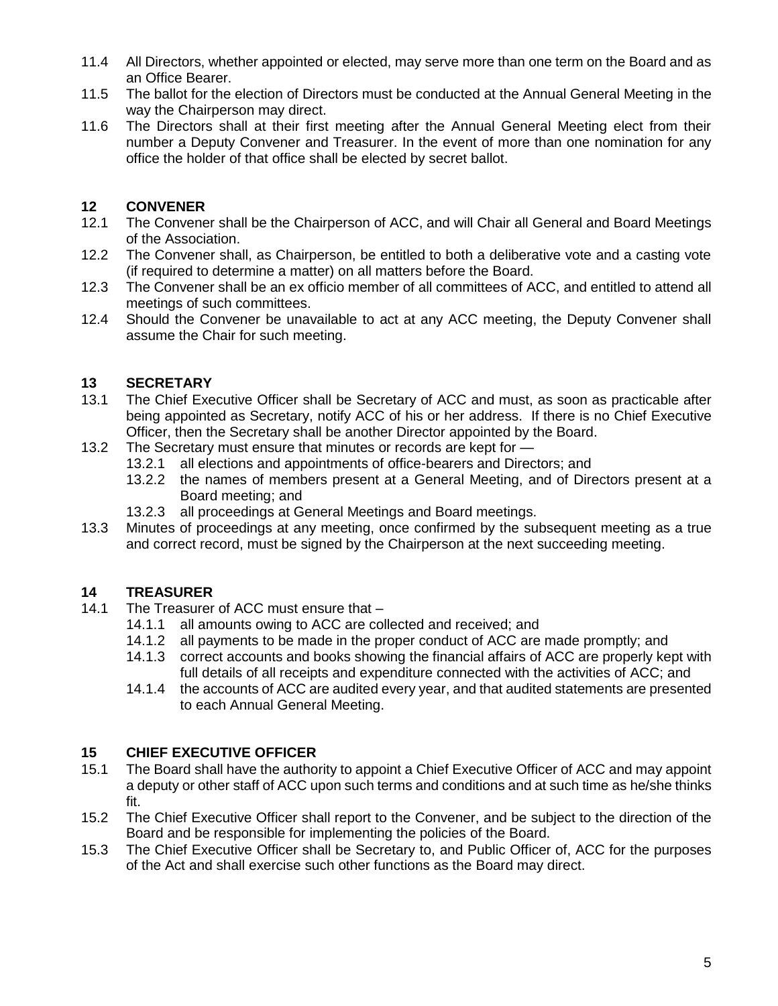- 11.4 All Directors, whether appointed or elected, may serve more than one term on the Board and as an Office Bearer.
- 11.5 The ballot for the election of Directors must be conducted at the Annual General Meeting in the way the Chairperson may direct.
- 11.6 The Directors shall at their first meeting after the Annual General Meeting elect from their number a Deputy Convener and Treasurer. In the event of more than one nomination for any office the holder of that office shall be elected by secret ballot.

# **12 CONVENER**

- 12.1 The Convener shall be the Chairperson of ACC, and will Chair all General and Board Meetings of the Association.
- 12.2 The Convener shall, as Chairperson, be entitled to both a deliberative vote and a casting vote (if required to determine a matter) on all matters before the Board.
- 12.3 The Convener shall be an ex officio member of all committees of ACC, and entitled to attend all meetings of such committees.
- 12.4 Should the Convener be unavailable to act at any ACC meeting, the Deputy Convener shall assume the Chair for such meeting.

#### **13 SECRETARY**

- 13.1 The Chief Executive Officer shall be Secretary of ACC and must, as soon as practicable after being appointed as Secretary, notify ACC of his or her address. If there is no Chief Executive Officer, then the Secretary shall be another Director appointed by the Board.
- 13.2 The Secretary must ensure that minutes or records are kept for
	- 13.2.1 all elections and appointments of office-bearers and Directors; and
	- 13.2.2 the names of members present at a General Meeting, and of Directors present at a Board meeting; and
	- 13.2.3 all proceedings at General Meetings and Board meetings.
- 13.3 Minutes of proceedings at any meeting, once confirmed by the subsequent meeting as a true and correct record, must be signed by the Chairperson at the next succeeding meeting.

#### **14 TREASURER**

- 14.1 The Treasurer of ACC must ensure that
	- 14.1.1 all amounts owing to ACC are collected and received; and
	- 14.1.2 all payments to be made in the proper conduct of ACC are made promptly; and
	- 14.1.3 correct accounts and books showing the financial affairs of ACC are properly kept with full details of all receipts and expenditure connected with the activities of ACC; and
	- 14.1.4 the accounts of ACC are audited every year, and that audited statements are presented to each Annual General Meeting.

#### **15 CHIEF EXECUTIVE OFFICER**

- 15.1 The Board shall have the authority to appoint a Chief Executive Officer of ACC and may appoint a deputy or other staff of ACC upon such terms and conditions and at such time as he/she thinks fit.
- 15.2 The Chief Executive Officer shall report to the Convener, and be subject to the direction of the Board and be responsible for implementing the policies of the Board.
- 15.3 The Chief Executive Officer shall be Secretary to, and Public Officer of, ACC for the purposes of the Act and shall exercise such other functions as the Board may direct.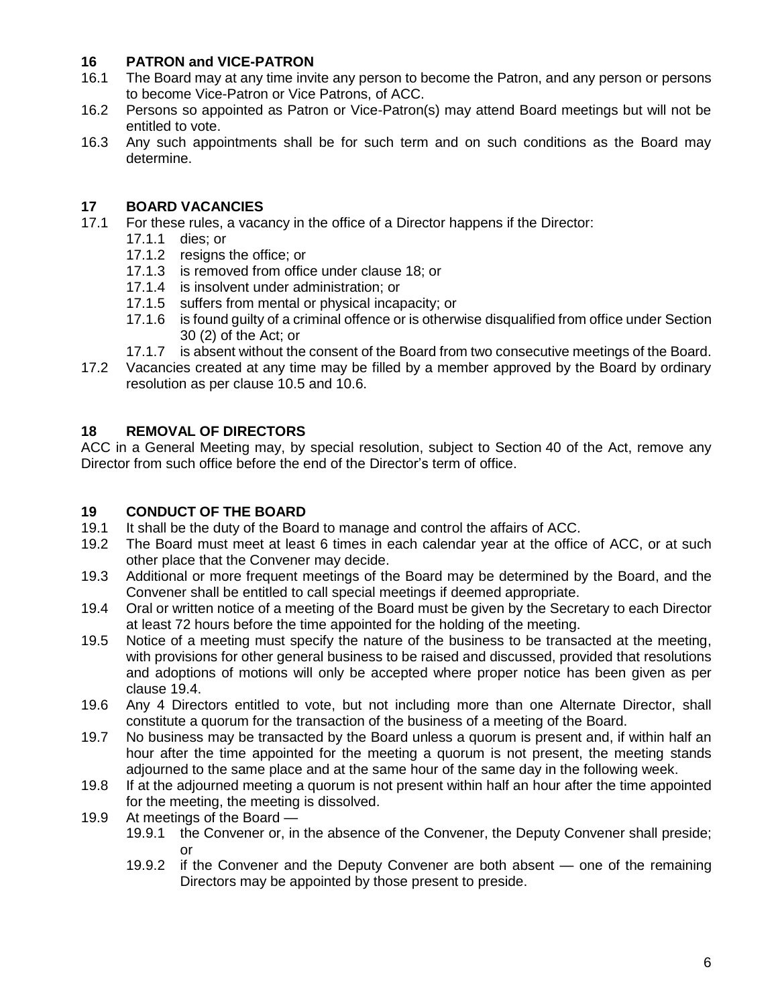# **16 PATRON and VICE-PATRON**

- The Board may at any time invite any person to become the Patron, and any person or persons to become Vice-Patron or Vice Patrons, of ACC.
- 16.2 Persons so appointed as Patron or Vice-Patron(s) may attend Board meetings but will not be entitled to vote.
- 16.3 Any such appointments shall be for such term and on such conditions as the Board may determine.

# **17 BOARD VACANCIES**

- 17.1 For these rules, a vacancy in the office of a Director happens if the Director:
	- 17.1.1 dies; or
	- 17.1.2 resigns the office; or
	- 17.1.3 is removed from office under clause 18; or
	- 17.1.4 is insolvent under administration; or
	- 17.1.5 suffers from mental or physical incapacity; or
	- 17.1.6 is found guilty of a criminal offence or is otherwise disqualified from office under Section 30 (2) of the Act; or
	- 17.1.7 is absent without the consent of the Board from two consecutive meetings of the Board.
- 17.2 Vacancies created at any time may be filled by a member approved by the Board by ordinary resolution as per clause 10.5 and 10.6.

# **18 REMOVAL OF DIRECTORS**

ACC in a General Meeting may, by special resolution, subject to Section 40 of the Act, remove any Director from such office before the end of the Director's term of office.

#### **19 CONDUCT OF THE BOARD**

- 19.1 It shall be the duty of the Board to manage and control the affairs of ACC.
- 19.2 The Board must meet at least 6 times in each calendar year at the office of ACC, or at such other place that the Convener may decide.
- 19.3 Additional or more frequent meetings of the Board may be determined by the Board, and the Convener shall be entitled to call special meetings if deemed appropriate.
- 19.4 Oral or written notice of a meeting of the Board must be given by the Secretary to each Director at least 72 hours before the time appointed for the holding of the meeting.
- 19.5 Notice of a meeting must specify the nature of the business to be transacted at the meeting, with provisions for other general business to be raised and discussed, provided that resolutions and adoptions of motions will only be accepted where proper notice has been given as per clause 19.4.
- 19.6 Any 4 Directors entitled to vote, but not including more than one Alternate Director, shall constitute a quorum for the transaction of the business of a meeting of the Board.
- 19.7 No business may be transacted by the Board unless a quorum is present and, if within half an hour after the time appointed for the meeting a quorum is not present, the meeting stands adjourned to the same place and at the same hour of the same day in the following week.
- 19.8 If at the adjourned meeting a quorum is not present within half an hour after the time appointed for the meeting, the meeting is dissolved.
- 19.9 At meetings of the Board
	- 19.9.1 the Convener or, in the absence of the Convener, the Deputy Convener shall preside; or
	- 19.9.2 if the Convener and the Deputy Convener are both absent one of the remaining Directors may be appointed by those present to preside.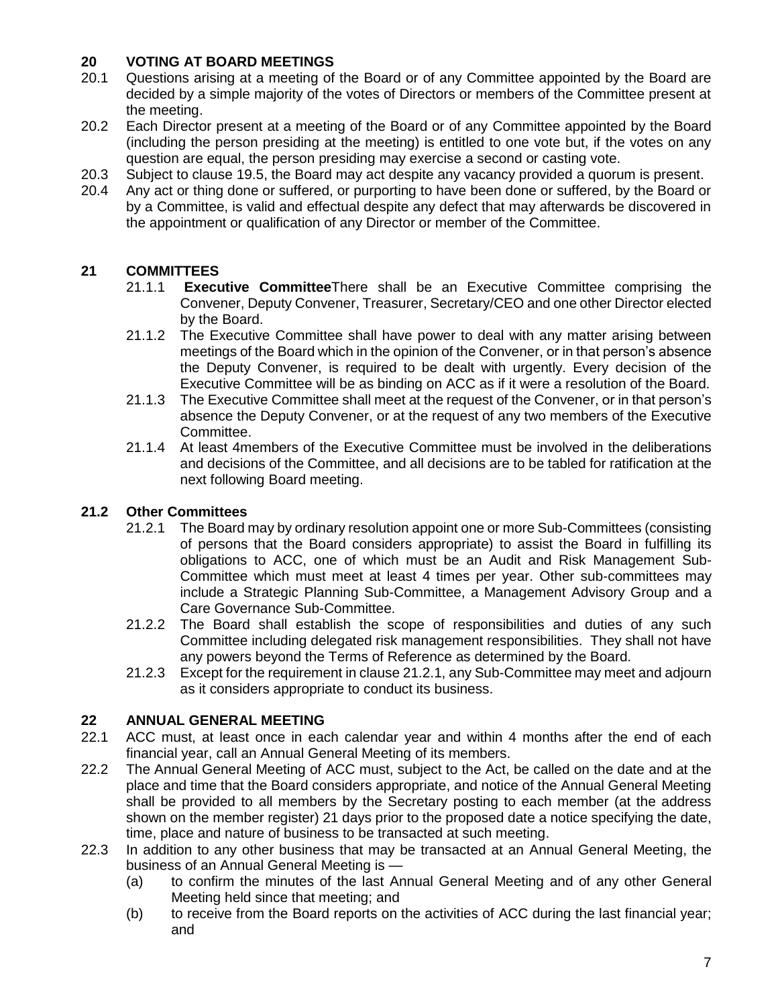# **20 VOTING AT BOARD MEETINGS**

- 20.1 Questions arising at a meeting of the Board or of any Committee appointed by the Board are decided by a simple majority of the votes of Directors or members of the Committee present at the meeting.
- 20.2 Each Director present at a meeting of the Board or of any Committee appointed by the Board (including the person presiding at the meeting) is entitled to one vote but, if the votes on any question are equal, the person presiding may exercise a second or casting vote.
- 20.3 Subject to clause 19.5, the Board may act despite any vacancy provided a quorum is present.
- 20.4 Any act or thing done or suffered, or purporting to have been done or suffered, by the Board or by a Committee, is valid and effectual despite any defect that may afterwards be discovered in the appointment or qualification of any Director or member of the Committee.

# **21 COMMITTEES**

- 21.1.1 **Executive Committee**There shall be an Executive Committee comprising the Convener, Deputy Convener, Treasurer, Secretary/CEO and one other Director elected by the Board.
- 21.1.2 The Executive Committee shall have power to deal with any matter arising between meetings of the Board which in the opinion of the Convener, or in that person's absence the Deputy Convener, is required to be dealt with urgently. Every decision of the Executive Committee will be as binding on ACC as if it were a resolution of the Board.
- 21.1.3 The Executive Committee shall meet at the request of the Convener, or in that person's absence the Deputy Convener, or at the request of any two members of the Executive Committee.
- 21.1.4 At least 4members of the Executive Committee must be involved in the deliberations and decisions of the Committee, and all decisions are to be tabled for ratification at the next following Board meeting.

#### **21.2 Other Committees**

- 21.2.1 The Board may by ordinary resolution appoint one or more Sub-Committees (consisting of persons that the Board considers appropriate) to assist the Board in fulfilling its obligations to ACC, one of which must be an Audit and Risk Management Sub-Committee which must meet at least 4 times per year. Other sub-committees may include a Strategic Planning Sub-Committee, a Management Advisory Group and a Care Governance Sub-Committee.
- 21.2.2 The Board shall establish the scope of responsibilities and duties of any such Committee including delegated risk management responsibilities. They shall not have any powers beyond the Terms of Reference as determined by the Board.
- 21.2.3 Except for the requirement in clause 21.2.1, any Sub-Committee may meet and adjourn as it considers appropriate to conduct its business.

#### **22 ANNUAL GENERAL MEETING**

- 22.1 ACC must, at least once in each calendar year and within 4 months after the end of each financial year, call an Annual General Meeting of its members.
- 22.2 The Annual General Meeting of ACC must, subject to the Act, be called on the date and at the place and time that the Board considers appropriate, and notice of the Annual General Meeting shall be provided to all members by the Secretary posting to each member (at the address shown on the member register) 21 days prior to the proposed date a notice specifying the date, time, place and nature of business to be transacted at such meeting.
- 22.3 In addition to any other business that may be transacted at an Annual General Meeting, the business of an Annual General Meeting is —
	- (a) to confirm the minutes of the last Annual General Meeting and of any other General Meeting held since that meeting; and
	- (b) to receive from the Board reports on the activities of ACC during the last financial year; and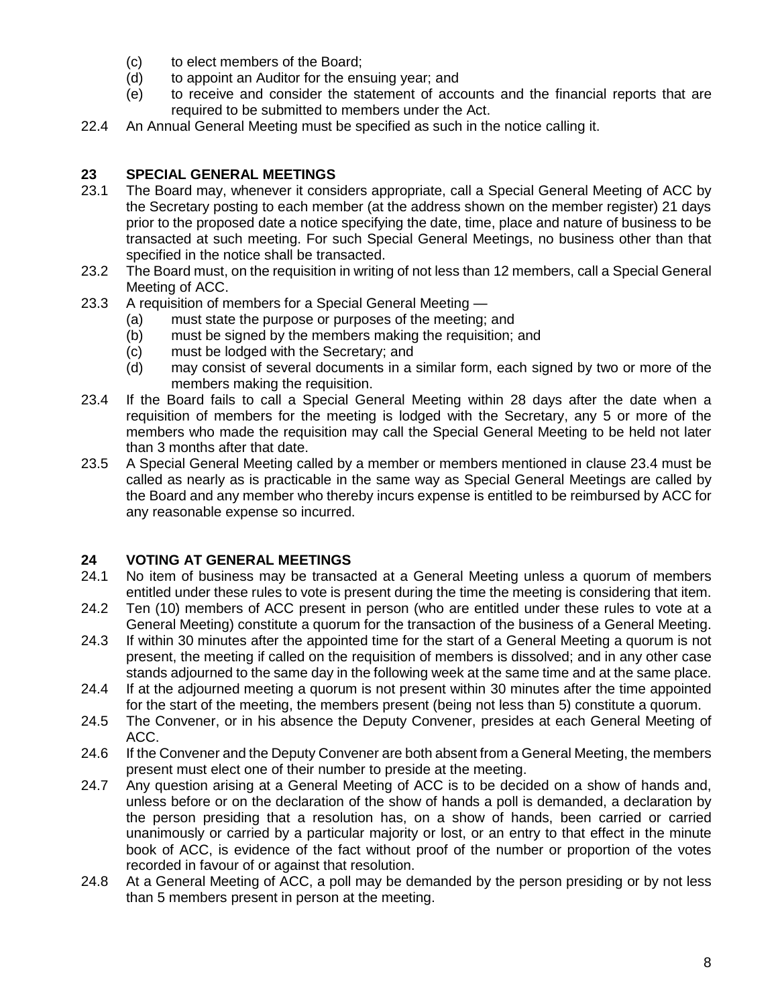- (c) to elect members of the Board;
- (d) to appoint an Auditor for the ensuing year; and
- (e) to receive and consider the statement of accounts and the financial reports that are required to be submitted to members under the Act.
- 22.4 An Annual General Meeting must be specified as such in the notice calling it.

# **23 SPECIAL GENERAL MEETINGS**

- 23.1 The Board may, whenever it considers appropriate, call a Special General Meeting of ACC by the Secretary posting to each member (at the address shown on the member register) 21 days prior to the proposed date a notice specifying the date, time, place and nature of business to be transacted at such meeting. For such Special General Meetings, no business other than that specified in the notice shall be transacted.
- 23.2 The Board must, on the requisition in writing of not less than 12 members, call a Special General Meeting of ACC.
- 23.3 A requisition of members for a Special General Meeting
	- (a) must state the purpose or purposes of the meeting; and
	- (b) must be signed by the members making the requisition; and
	- (c) must be lodged with the Secretary; and
	- (d) may consist of several documents in a similar form, each signed by two or more of the members making the requisition.
- 23.4 If the Board fails to call a Special General Meeting within 28 days after the date when a requisition of members for the meeting is lodged with the Secretary, any 5 or more of the members who made the requisition may call the Special General Meeting to be held not later than 3 months after that date.
- 23.5 A Special General Meeting called by a member or members mentioned in clause 23.4 must be called as nearly as is practicable in the same way as Special General Meetings are called by the Board and any member who thereby incurs expense is entitled to be reimbursed by ACC for any reasonable expense so incurred.

#### **24 VOTING AT GENERAL MEETINGS**

- 24.1 No item of business may be transacted at a General Meeting unless a quorum of members entitled under these rules to vote is present during the time the meeting is considering that item.
- 24.2 Ten (10) members of ACC present in person (who are entitled under these rules to vote at a General Meeting) constitute a quorum for the transaction of the business of a General Meeting.
- 24.3 If within 30 minutes after the appointed time for the start of a General Meeting a quorum is not present, the meeting if called on the requisition of members is dissolved; and in any other case stands adjourned to the same day in the following week at the same time and at the same place.
- 24.4 If at the adjourned meeting a quorum is not present within 30 minutes after the time appointed for the start of the meeting, the members present (being not less than 5) constitute a quorum.
- 24.5 The Convener, or in his absence the Deputy Convener, presides at each General Meeting of ACC.
- 24.6 If the Convener and the Deputy Convener are both absent from a General Meeting, the members present must elect one of their number to preside at the meeting.
- 24.7 Any question arising at a General Meeting of ACC is to be decided on a show of hands and, unless before or on the declaration of the show of hands a poll is demanded, a declaration by the person presiding that a resolution has, on a show of hands, been carried or carried unanimously or carried by a particular majority or lost, or an entry to that effect in the minute book of ACC, is evidence of the fact without proof of the number or proportion of the votes recorded in favour of or against that resolution.
- 24.8 At a General Meeting of ACC, a poll may be demanded by the person presiding or by not less than 5 members present in person at the meeting.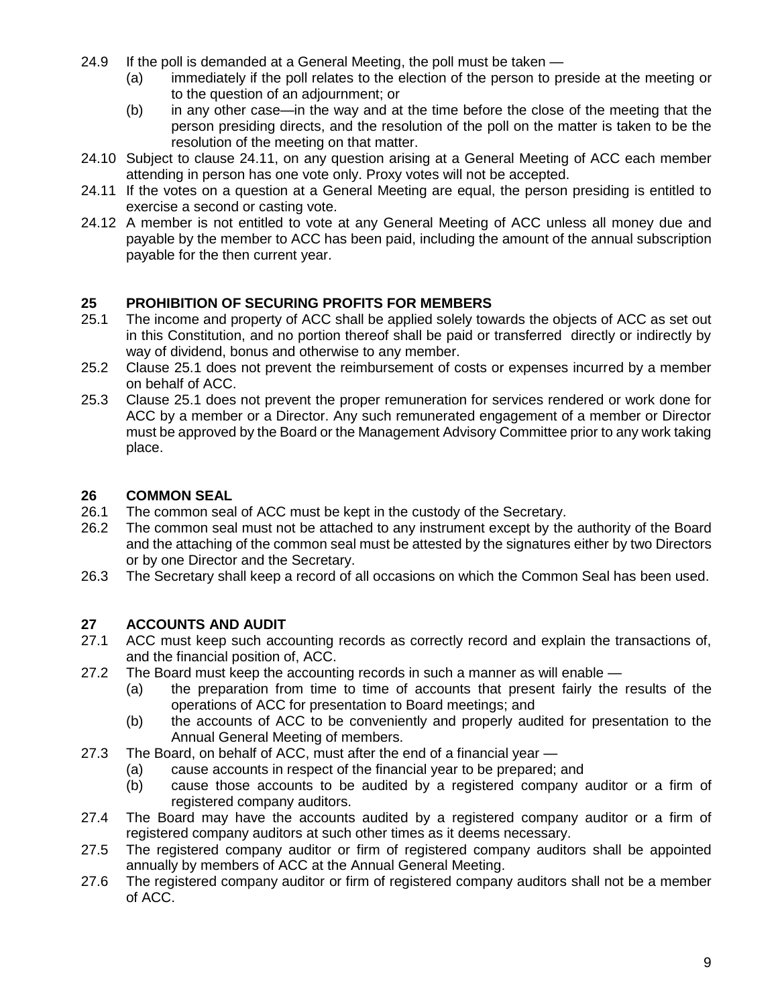- 24.9 If the poll is demanded at a General Meeting, the poll must be taken -
	- (a) immediately if the poll relates to the election of the person to preside at the meeting or to the question of an adjournment; or
	- (b) in any other case—in the way and at the time before the close of the meeting that the person presiding directs, and the resolution of the poll on the matter is taken to be the resolution of the meeting on that matter.
- 24.10 Subject to clause 24.11, on any question arising at a General Meeting of ACC each member attending in person has one vote only. Proxy votes will not be accepted.
- 24.11 If the votes on a question at a General Meeting are equal, the person presiding is entitled to exercise a second or casting vote.
- 24.12 A member is not entitled to vote at any General Meeting of ACC unless all money due and payable by the member to ACC has been paid, including the amount of the annual subscription payable for the then current year.

# **25 PROHIBITION OF SECURING PROFITS FOR MEMBERS**

- 25.1 The income and property of ACC shall be applied solely towards the objects of ACC as set out in this Constitution, and no portion thereof shall be paid or transferred directly or indirectly by way of dividend, bonus and otherwise to any member.
- 25.2 Clause 25.1 does not prevent the reimbursement of costs or expenses incurred by a member on behalf of ACC.
- 25.3 Clause 25.1 does not prevent the proper remuneration for services rendered or work done for ACC by a member or a Director. Any such remunerated engagement of a member or Director must be approved by the Board or the Management Advisory Committee prior to any work taking place.

# **26 COMMON SEAL**

- 26.1 The common seal of ACC must be kept in the custody of the Secretary.
- 26.2 The common seal must not be attached to any instrument except by the authority of the Board and the attaching of the common seal must be attested by the signatures either by two Directors or by one Director and the Secretary.
- 26.3 The Secretary shall keep a record of all occasions on which the Common Seal has been used.

# **27 ACCOUNTS AND AUDIT**

- 27.1 ACC must keep such accounting records as correctly record and explain the transactions of, and the financial position of, ACC.
- 27.2 The Board must keep the accounting records in such a manner as will enable
	- (a) the preparation from time to time of accounts that present fairly the results of the operations of ACC for presentation to Board meetings; and
	- (b) the accounts of ACC to be conveniently and properly audited for presentation to the Annual General Meeting of members.
- 27.3 The Board, on behalf of ACC, must after the end of a financial year
	- (a) cause accounts in respect of the financial year to be prepared; and
		- (b) cause those accounts to be audited by a registered company auditor or a firm of registered company auditors.
- 27.4 The Board may have the accounts audited by a registered company auditor or a firm of registered company auditors at such other times as it deems necessary.
- 27.5 The registered company auditor or firm of registered company auditors shall be appointed annually by members of ACC at the Annual General Meeting.
- 27.6 The registered company auditor or firm of registered company auditors shall not be a member of ACC.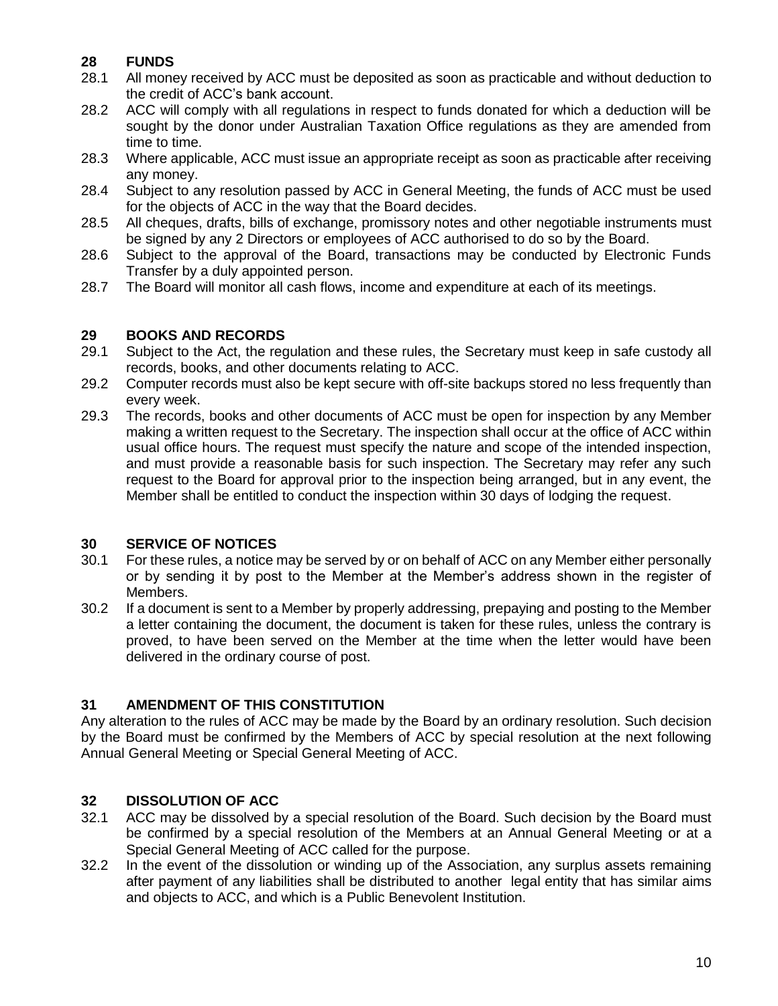# **28 FUNDS**

- 28.1 All money received by ACC must be deposited as soon as practicable and without deduction to the credit of ACC's bank account.
- 28.2 ACC will comply with all regulations in respect to funds donated for which a deduction will be sought by the donor under Australian Taxation Office regulations as they are amended from time to time.
- 28.3 Where applicable, ACC must issue an appropriate receipt as soon as practicable after receiving any money.
- 28.4 Subject to any resolution passed by ACC in General Meeting, the funds of ACC must be used for the objects of ACC in the way that the Board decides.
- 28.5 All cheques, drafts, bills of exchange, promissory notes and other negotiable instruments must be signed by any 2 Directors or employees of ACC authorised to do so by the Board.
- 28.6 Subject to the approval of the Board, transactions may be conducted by Electronic Funds Transfer by a duly appointed person.
- 28.7 The Board will monitor all cash flows, income and expenditure at each of its meetings.

# **29 BOOKS AND RECORDS**

- 29.1 Subject to the Act, the regulation and these rules, the Secretary must keep in safe custody all records, books, and other documents relating to ACC.
- 29.2 Computer records must also be kept secure with off-site backups stored no less frequently than every week.
- 29.3 The records, books and other documents of ACC must be open for inspection by any Member making a written request to the Secretary. The inspection shall occur at the office of ACC within usual office hours. The request must specify the nature and scope of the intended inspection, and must provide a reasonable basis for such inspection. The Secretary may refer any such request to the Board for approval prior to the inspection being arranged, but in any event, the Member shall be entitled to conduct the inspection within 30 days of lodging the request.

#### **30 SERVICE OF NOTICES**

- 30.1 For these rules, a notice may be served by or on behalf of ACC on any Member either personally or by sending it by post to the Member at the Member's address shown in the register of Members.
- 30.2 If a document is sent to a Member by properly addressing, prepaying and posting to the Member a letter containing the document, the document is taken for these rules, unless the contrary is proved, to have been served on the Member at the time when the letter would have been delivered in the ordinary course of post.

# **31 AMENDMENT OF THIS CONSTITUTION**

Any alteration to the rules of ACC may be made by the Board by an ordinary resolution. Such decision by the Board must be confirmed by the Members of ACC by special resolution at the next following Annual General Meeting or Special General Meeting of ACC.

# **32 DISSOLUTION OF ACC**

- 32.1 ACC may be dissolved by a special resolution of the Board. Such decision by the Board must be confirmed by a special resolution of the Members at an Annual General Meeting or at a Special General Meeting of ACC called for the purpose.
- 32.2 In the event of the dissolution or winding up of the Association, any surplus assets remaining after payment of any liabilities shall be distributed to another legal entity that has similar aims and objects to ACC, and which is a Public Benevolent Institution.